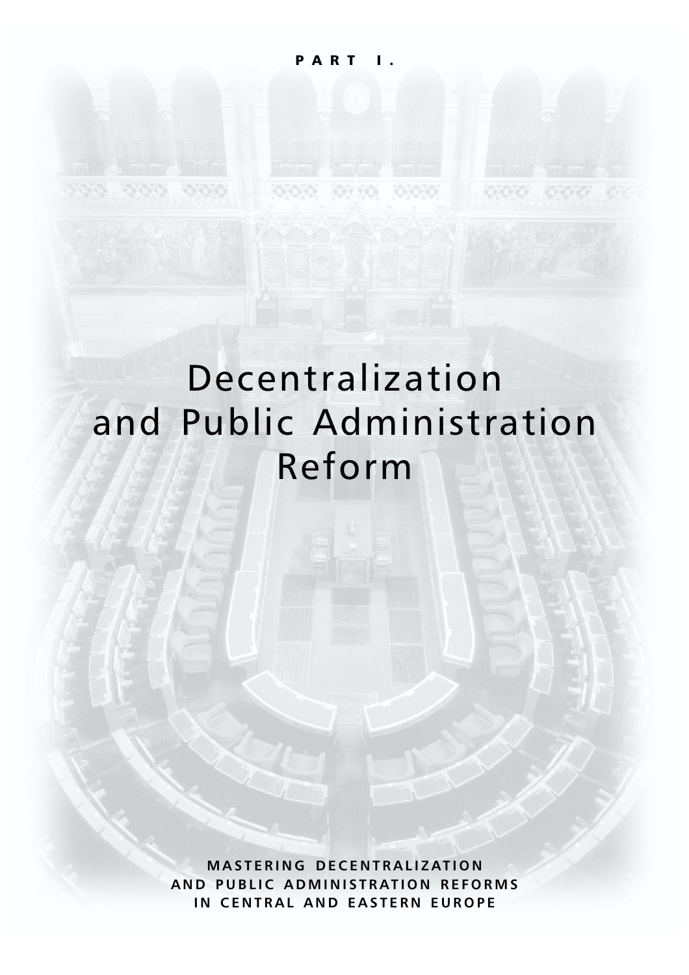Seis

# Decentralization and Public Administration Reform

**MASTERING DECENTRALIZATION AND PUBLIC ADMINISTRATION REFORMS IN CENTRAL AND EASTERN EUROPE**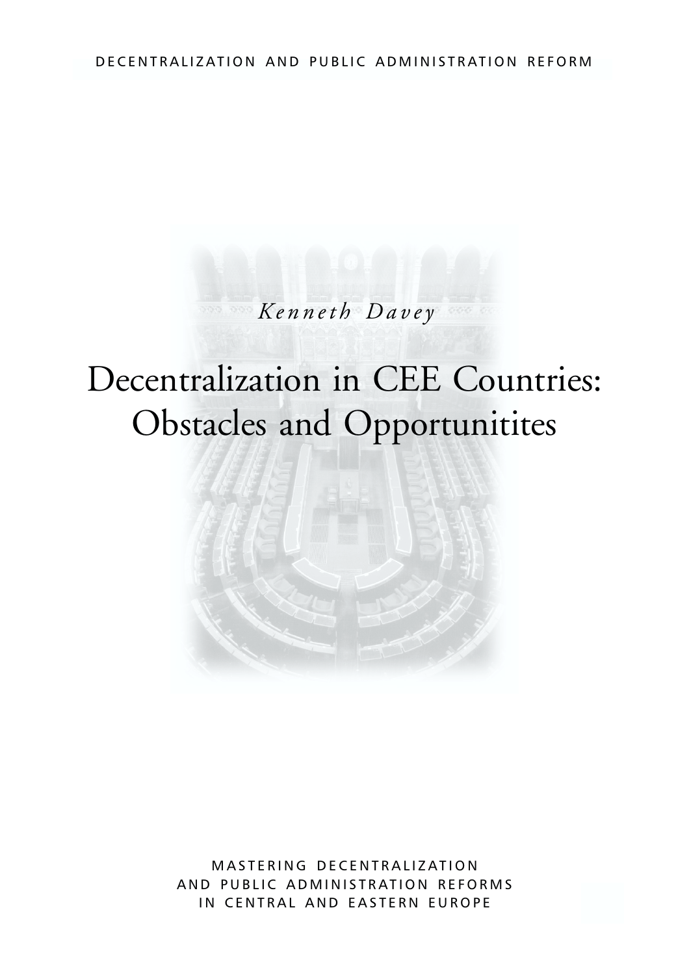## DECENTRALIZATION AND PUBLIC ADMINISTRATION REFORM

# *Kenneth Davey*

# Decentralization in CEE Countries: Obstacles and Opportunitites



MASTERING DECENTRALIZATION AND PUBLIC ADMINISTRATION REFORMS IN CENTRAL AND EASTERN EUROPE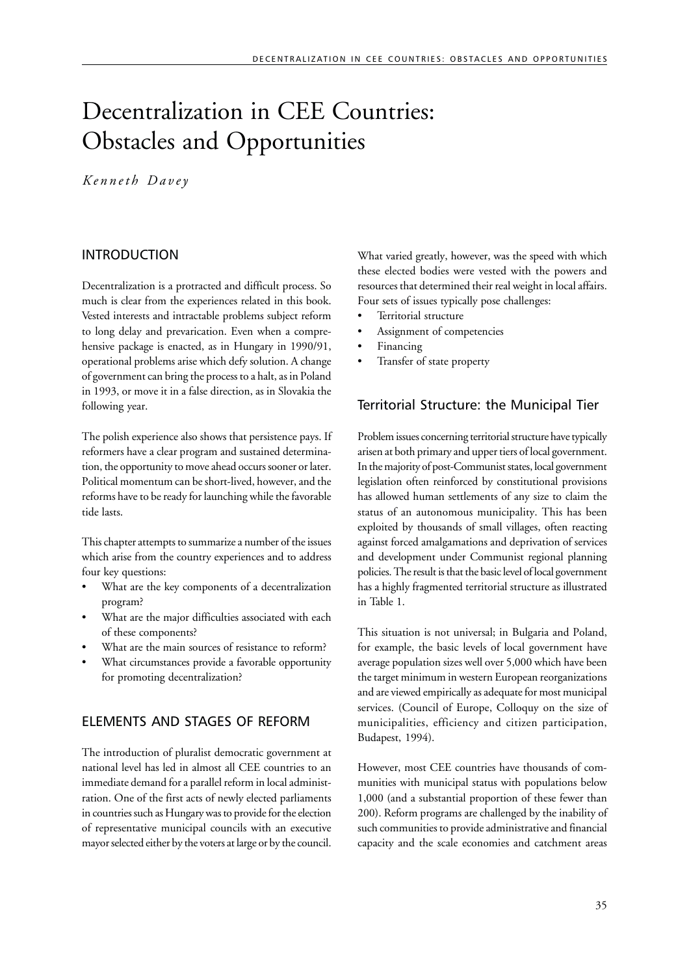# Decentralization in CEE Countries: Obstacles and Opportunities

*Kenneth Davey*

#### INTRODUCTION

Decentralization is a protracted and difficult process. So much is clear from the experiences related in this book. Vested interests and intractable problems subject reform to long delay and prevarication. Even when a comprehensive package is enacted, as in Hungary in 1990/91, operational problems arise which defy solution. A change of government can bring the process to a halt, as in Poland in 1993, or move it in a false direction, as in Slovakia the following year.

The polish experience also shows that persistence pays. If reformers have a clear program and sustained determination, the opportunity to move ahead occurs sooner or later. Political momentum can be short-lived, however, and the reforms have to be ready for launching while the favorable tide lasts.

This chapter attempts to summarize a number of the issues which arise from the country experiences and to address four key questions:

- What are the key components of a decentralization program?
- What are the major difficulties associated with each of these components?
- What are the main sources of resistance to reform?
- What circumstances provide a favorable opportunity for promoting decentralization?

#### ELEMENTS AND STAGES OF REFORM

The introduction of pluralist democratic government at national level has led in almost all CEE countries to an immediate demand for a parallel reform in local administration. One of the first acts of newly elected parliaments in countries such as Hungary was to provide for the election of representative municipal councils with an executive mayor selected either by the voters at large or by the council.

What varied greatly, however, was the speed with which these elected bodies were vested with the powers and resources that determined their real weight in local affairs. Four sets of issues typically pose challenges:

- Territorial structure
- Assignment of competencies
- **Financing**
- Transfer of state property

## Territorial Structure: the Municipal Tier

Problem issues concerning territorial structure have typically arisen at both primary and upper tiers of local government. In the majority of post-Communist states, local government legislation often reinforced by constitutional provisions has allowed human settlements of any size to claim the status of an autonomous municipality. This has been exploited by thousands of small villages, often reacting against forced amalgamations and deprivation of services and development under Communist regional planning policies. The result is that the basic level of local government has a highly fragmented territorial structure as illustrated in Table 1.

This situation is not universal; in Bulgaria and Poland, for example, the basic levels of local government have average population sizes well over 5,000 which have been the target minimum in western European reorganizations and are viewed empirically as adequate for most municipal services. (Council of Europe, Colloquy on the size of municipalities, efficiency and citizen participation, Budapest, 1994).

However, most CEE countries have thousands of communities with municipal status with populations below 1,000 (and a substantial proportion of these fewer than 200). Reform programs are challenged by the inability of such communities to provide administrative and financial capacity and the scale economies and catchment areas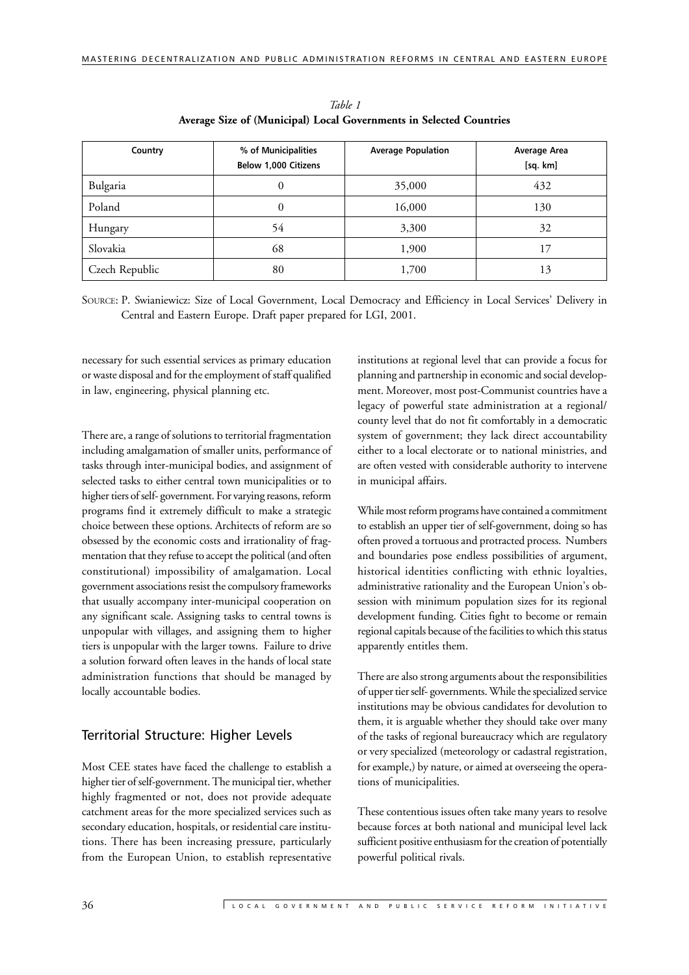| Country        | % of Municipalities<br>Below 1,000 Citizens | <b>Average Population</b> | Average Area<br>[sq. km] |
|----------------|---------------------------------------------|---------------------------|--------------------------|
| Bulgaria       | 0                                           | 35,000                    | 432                      |
| Poland         | $\mathbf{0}$                                | 16,000                    | 130                      |
| Hungary        | 54                                          | 3,300                     | 32                       |
| Slovakia       | 68                                          | 1,900                     | 17                       |
| Czech Republic | 80                                          | 1,700                     | 13                       |

*Table 1* **Average Size of (Municipal) Local Governments in Selected Countries**

SOURCE: P. Swianiewicz: Size of Local Government, Local Democracy and Efficiency in Local Services' Delivery in Central and Eastern Europe. Draft paper prepared for LGI, 2001.

necessary for such essential services as primary education or waste disposal and for the employment of staff qualified in law, engineering, physical planning etc.

There are, a range of solutions to territorial fragmentation including amalgamation of smaller units, performance of tasks through inter-municipal bodies, and assignment of selected tasks to either central town municipalities or to higher tiers of self- government. For varying reasons, reform programs find it extremely difficult to make a strategic choice between these options. Architects of reform are so obsessed by the economic costs and irrationality of fragmentation that they refuse to accept the political (and often constitutional) impossibility of amalgamation. Local government associations resist the compulsory frameworks that usually accompany inter-municipal cooperation on any significant scale. Assigning tasks to central towns is unpopular with villages, and assigning them to higher tiers is unpopular with the larger towns. Failure to drive a solution forward often leaves in the hands of local state administration functions that should be managed by locally accountable bodies.

#### Territorial Structure: Higher Levels

Most CEE states have faced the challenge to establish a higher tier of self-government. The municipal tier, whether highly fragmented or not, does not provide adequate catchment areas for the more specialized services such as secondary education, hospitals, or residential care institutions. There has been increasing pressure, particularly from the European Union, to establish representative

institutions at regional level that can provide a focus for planning and partnership in economic and social development. Moreover, most post-Communist countries have a legacy of powerful state administration at a regional/ county level that do not fit comfortably in a democratic system of government; they lack direct accountability either to a local electorate or to national ministries, and are often vested with considerable authority to intervene in municipal affairs.

While most reform programs have contained a commitment to establish an upper tier of self-government, doing so has often proved a tortuous and protracted process. Numbers and boundaries pose endless possibilities of argument, historical identities conflicting with ethnic loyalties, administrative rationality and the European Union's obsession with minimum population sizes for its regional development funding. Cities fight to become or remain regional capitals because of the facilities to which this status apparently entitles them.

There are also strong arguments about the responsibilities of upper tier self- governments. While the specialized service institutions may be obvious candidates for devolution to them, it is arguable whether they should take over many of the tasks of regional bureaucracy which are regulatory or very specialized (meteorology or cadastral registration, for example,) by nature, or aimed at overseeing the operations of municipalities.

These contentious issues often take many years to resolve because forces at both national and municipal level lack sufficient positive enthusiasm for the creation of potentially powerful political rivals.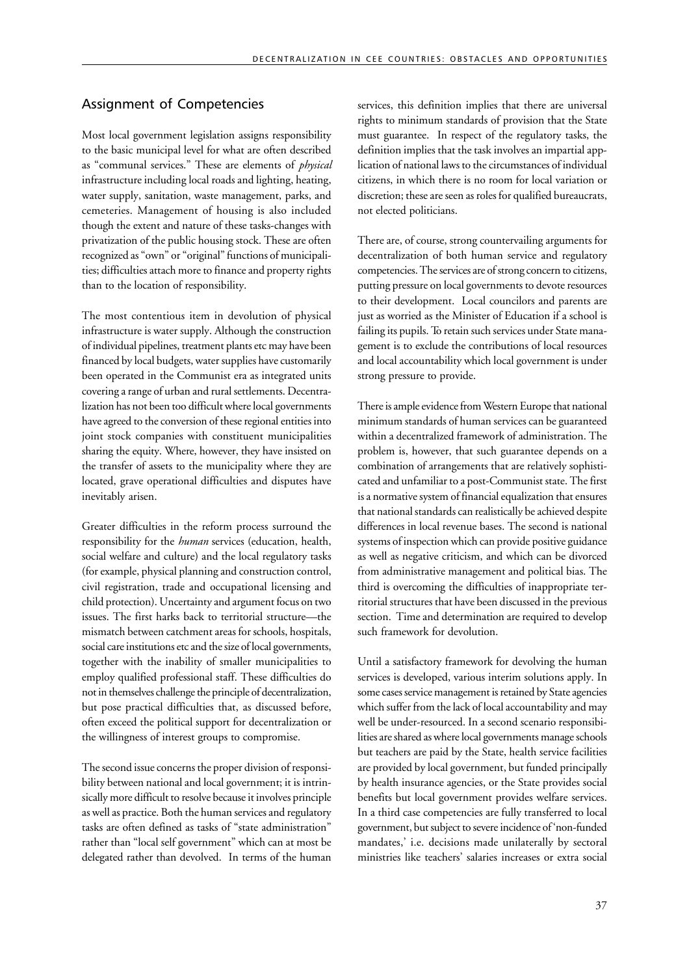#### Assignment of Competencies

Most local government legislation assigns responsibility to the basic municipal level for what are often described as "communal services." These are elements of *physical* infrastructure including local roads and lighting, heating, water supply, sanitation, waste management, parks, and cemeteries. Management of housing is also included though the extent and nature of these tasks-changes with privatization of the public housing stock. These are often recognized as "own" or "original" functions of municipalities; difficulties attach more to finance and property rights than to the location of responsibility.

The most contentious item in devolution of physical infrastructure is water supply. Although the construction of individual pipelines, treatment plants etc may have been financed by local budgets, water supplies have customarily been operated in the Communist era as integrated units covering a range of urban and rural settlements. Decentralization has not been too difficult where local governments have agreed to the conversion of these regional entities into joint stock companies with constituent municipalities sharing the equity. Where, however, they have insisted on the transfer of assets to the municipality where they are located, grave operational difficulties and disputes have inevitably arisen.

Greater difficulties in the reform process surround the responsibility for the *human* services (education, health, social welfare and culture) and the local regulatory tasks (for example, physical planning and construction control, civil registration, trade and occupational licensing and child protection). Uncertainty and argument focus on two issues. The first harks back to territorial structure—the mismatch between catchment areas for schools, hospitals, social care institutions etc and the size of local governments, together with the inability of smaller municipalities to employ qualified professional staff. These difficulties do not in themselves challenge the principle of decentralization, but pose practical difficulties that, as discussed before, often exceed the political support for decentralization or the willingness of interest groups to compromise.

The second issue concerns the proper division of responsibility between national and local government; it is intrinsically more difficult to resolve because it involves principle as well as practice. Both the human services and regulatory tasks are often defined as tasks of "state administration" rather than "local self government" which can at most be delegated rather than devolved. In terms of the human services, this definition implies that there are universal rights to minimum standards of provision that the State must guarantee. In respect of the regulatory tasks, the definition implies that the task involves an impartial application of national laws to the circumstances of individual citizens, in which there is no room for local variation or discretion; these are seen as roles for qualified bureaucrats, not elected politicians.

There are, of course, strong countervailing arguments for decentralization of both human service and regulatory competencies. The services are of strong concern to citizens, putting pressure on local governments to devote resources to their development. Local councilors and parents are just as worried as the Minister of Education if a school is failing its pupils. To retain such services under State management is to exclude the contributions of local resources and local accountability which local government is under strong pressure to provide.

There is ample evidence from Western Europe that national minimum standards of human services can be guaranteed within a decentralized framework of administration. The problem is, however, that such guarantee depends on a combination of arrangements that are relatively sophisticated and unfamiliar to a post-Communist state. The first is a normative system of financial equalization that ensures that national standards can realistically be achieved despite differences in local revenue bases. The second is national systems of inspection which can provide positive guidance as well as negative criticism, and which can be divorced from administrative management and political bias. The third is overcoming the difficulties of inappropriate territorial structures that have been discussed in the previous section. Time and determination are required to develop such framework for devolution.

Until a satisfactory framework for devolving the human services is developed, various interim solutions apply. In some cases service management is retained by State agencies which suffer from the lack of local accountability and may well be under-resourced. In a second scenario responsibilities are shared as where local governments manage schools but teachers are paid by the State, health service facilities are provided by local government, but funded principally by health insurance agencies, or the State provides social benefits but local government provides welfare services. In a third case competencies are fully transferred to local government, but subject to severe incidence of 'non-funded mandates,' i.e. decisions made unilaterally by sectoral ministries like teachers' salaries increases or extra social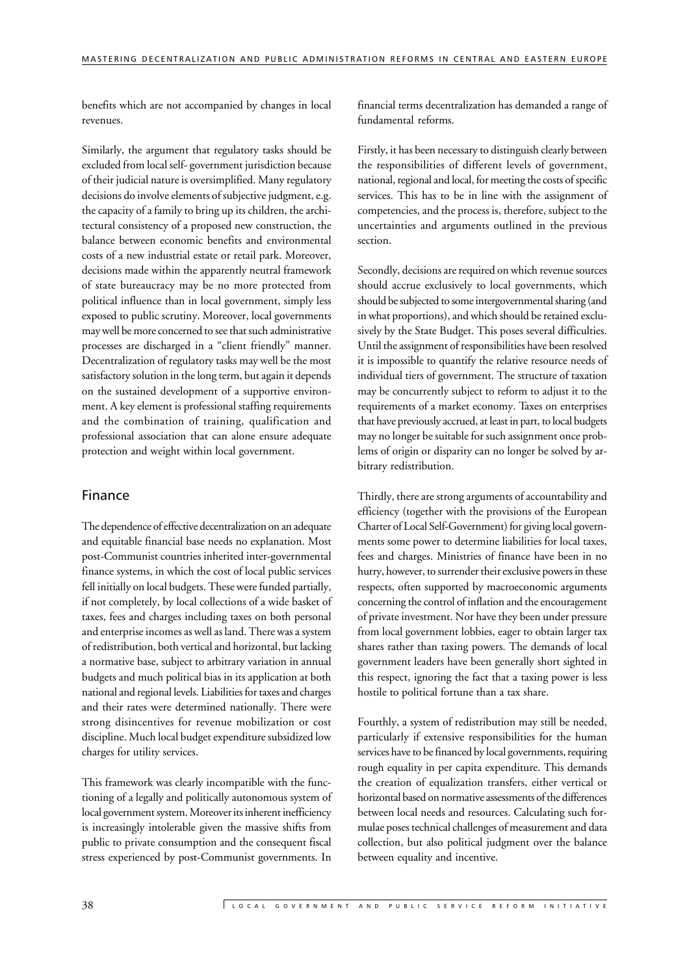benefits which are not accompanied by changes in local revenues.

Similarly, the argument that regulatory tasks should be excluded from local self- government jurisdiction because of their judicial nature is oversimplified. Many regulatory decisions do involve elements of subjective judgment, e.g. the capacity of a family to bring up its children, the architectural consistency of a proposed new construction, the balance between economic benefits and environmental costs of a new industrial estate or retail park. Moreover, decisions made within the apparently neutral framework of state bureaucracy may be no more protected from political influence than in local government, simply less exposed to public scrutiny. Moreover, local governments may well be more concerned to see that such administrative processes are discharged in a "client friendly" manner. Decentralization of regulatory tasks may well be the most satisfactory solution in the long term, but again it depends on the sustained development of a supportive environment. A key element is professional staffing requirements and the combination of training, qualification and professional association that can alone ensure adequate protection and weight within local government.

#### Finance

The dependence of effective decentralization on an adequate and equitable financial base needs no explanation. Most post-Communist countries inherited inter-governmental finance systems, in which the cost of local public services fell initially on local budgets. These were funded partially, if not completely, by local collections of a wide basket of taxes, fees and charges including taxes on both personal and enterprise incomes as well as land. There was a system of redistribution, both vertical and horizontal, but lacking a normative base, subject to arbitrary variation in annual budgets and much political bias in its application at both national and regional levels. Liabilities for taxes and charges and their rates were determined nationally. There were strong disincentives for revenue mobilization or cost discipline. Much local budget expenditure subsidized low charges for utility services.

This framework was clearly incompatible with the functioning of a legally and politically autonomous system of local government system. Moreover its inherent inefficiency is increasingly intolerable given the massive shifts from public to private consumption and the consequent fiscal stress experienced by post-Communist governments. In financial terms decentralization has demanded a range of fundamental reforms.

Firstly, it has been necessary to distinguish clearly between the responsibilities of different levels of government, national, regional and local, for meeting the costs of specific services. This has to be in line with the assignment of competencies, and the process is, therefore, subject to the uncertainties and arguments outlined in the previous section.

Secondly, decisions are required on which revenue sources should accrue exclusively to local governments, which should be subjected to some intergovernmental sharing (and in what proportions), and which should be retained exclusively by the State Budget. This poses several difficulties. Until the assignment of responsibilities have been resolved it is impossible to quantify the relative resource needs of individual tiers of government. The structure of taxation may be concurrently subject to reform to adjust it to the requirements of a market economy. Taxes on enterprises that have previously accrued, at least in part, to local budgets may no longer be suitable for such assignment once problems of origin or disparity can no longer be solved by arbitrary redistribution.

Thirdly, there are strong arguments of accountability and efficiency (together with the provisions of the European Charter of Local Self-Government) for giving local governments some power to determine liabilities for local taxes, fees and charges. Ministries of finance have been in no hurry, however, to surrender their exclusive powers in these respects, often supported by macroeconomic arguments concerning the control of inflation and the encouragement of private investment. Nor have they been under pressure from local government lobbies, eager to obtain larger tax shares rather than taxing powers. The demands of local government leaders have been generally short sighted in this respect, ignoring the fact that a taxing power is less hostile to political fortune than a tax share.

Fourthly, a system of redistribution may still be needed, particularly if extensive responsibilities for the human services have to be financed by local governments, requiring rough equality in per capita expenditure. This demands the creation of equalization transfers, either vertical or horizontal based on normative assessments of the differences between local needs and resources. Calculating such formulae poses technical challenges of measurement and data collection, but also political judgment over the balance between equality and incentive.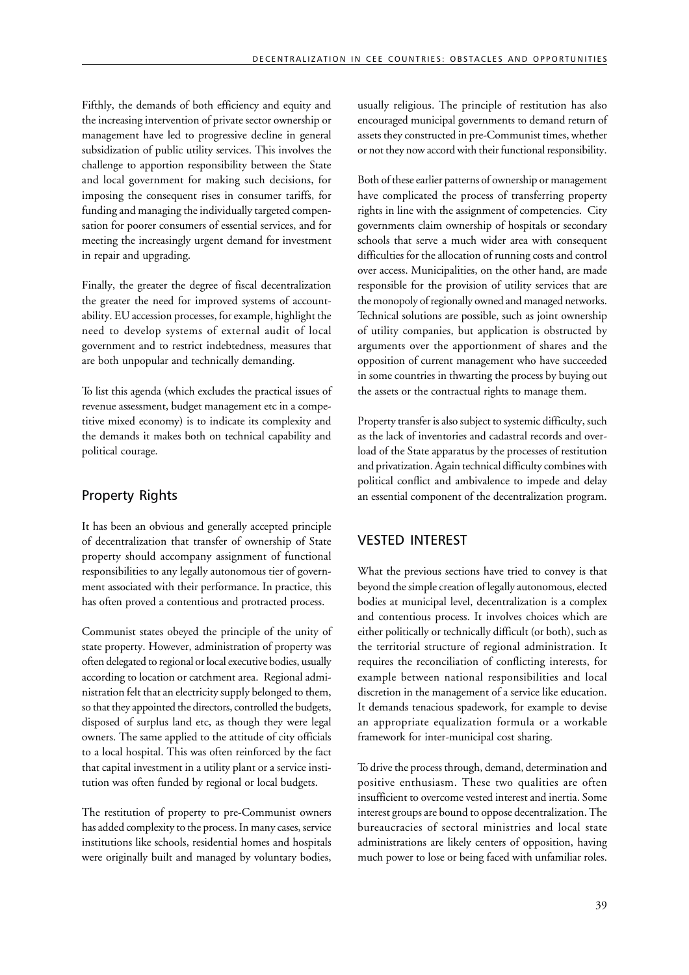Fifthly, the demands of both efficiency and equity and the increasing intervention of private sector ownership or management have led to progressive decline in general subsidization of public utility services. This involves the challenge to apportion responsibility between the State and local government for making such decisions, for imposing the consequent rises in consumer tariffs, for funding and managing the individually targeted compensation for poorer consumers of essential services, and for meeting the increasingly urgent demand for investment in repair and upgrading.

Finally, the greater the degree of fiscal decentralization the greater the need for improved systems of accountability. EU accession processes, for example, highlight the need to develop systems of external audit of local government and to restrict indebtedness, measures that are both unpopular and technically demanding.

To list this agenda (which excludes the practical issues of revenue assessment, budget management etc in a competitive mixed economy) is to indicate its complexity and the demands it makes both on technical capability and political courage.

### Property Rights

It has been an obvious and generally accepted principle of decentralization that transfer of ownership of State property should accompany assignment of functional responsibilities to any legally autonomous tier of government associated with their performance. In practice, this has often proved a contentious and protracted process.

Communist states obeyed the principle of the unity of state property. However, administration of property was often delegated to regional or local executive bodies, usually according to location or catchment area. Regional administration felt that an electricity supply belonged to them, so that they appointed the directors, controlled the budgets, disposed of surplus land etc, as though they were legal owners. The same applied to the attitude of city officials to a local hospital. This was often reinforced by the fact that capital investment in a utility plant or a service institution was often funded by regional or local budgets.

The restitution of property to pre-Communist owners has added complexity to the process. In many cases, service institutions like schools, residential homes and hospitals were originally built and managed by voluntary bodies, usually religious. The principle of restitution has also encouraged municipal governments to demand return of assets they constructed in pre-Communist times, whether or not they now accord with their functional responsibility.

Both of these earlier patterns of ownership or management have complicated the process of transferring property rights in line with the assignment of competencies. City governments claim ownership of hospitals or secondary schools that serve a much wider area with consequent difficulties for the allocation of running costs and control over access. Municipalities, on the other hand, are made responsible for the provision of utility services that are the monopoly of regionally owned and managed networks. Technical solutions are possible, such as joint ownership of utility companies, but application is obstructed by arguments over the apportionment of shares and the opposition of current management who have succeeded in some countries in thwarting the process by buying out the assets or the contractual rights to manage them.

Property transfer is also subject to systemic difficulty, such as the lack of inventories and cadastral records and overload of the State apparatus by the processes of restitution and privatization. Again technical difficulty combines with political conflict and ambivalence to impede and delay an essential component of the decentralization program.

### VESTED INTEREST

What the previous sections have tried to convey is that beyond the simple creation of legally autonomous, elected bodies at municipal level, decentralization is a complex and contentious process. It involves choices which are either politically or technically difficult (or both), such as the territorial structure of regional administration. It requires the reconciliation of conflicting interests, for example between national responsibilities and local discretion in the management of a service like education. It demands tenacious spadework, for example to devise an appropriate equalization formula or a workable framework for inter-municipal cost sharing.

To drive the process through, demand, determination and positive enthusiasm. These two qualities are often insufficient to overcome vested interest and inertia. Some interest groups are bound to oppose decentralization. The bureaucracies of sectoral ministries and local state administrations are likely centers of opposition, having much power to lose or being faced with unfamiliar roles.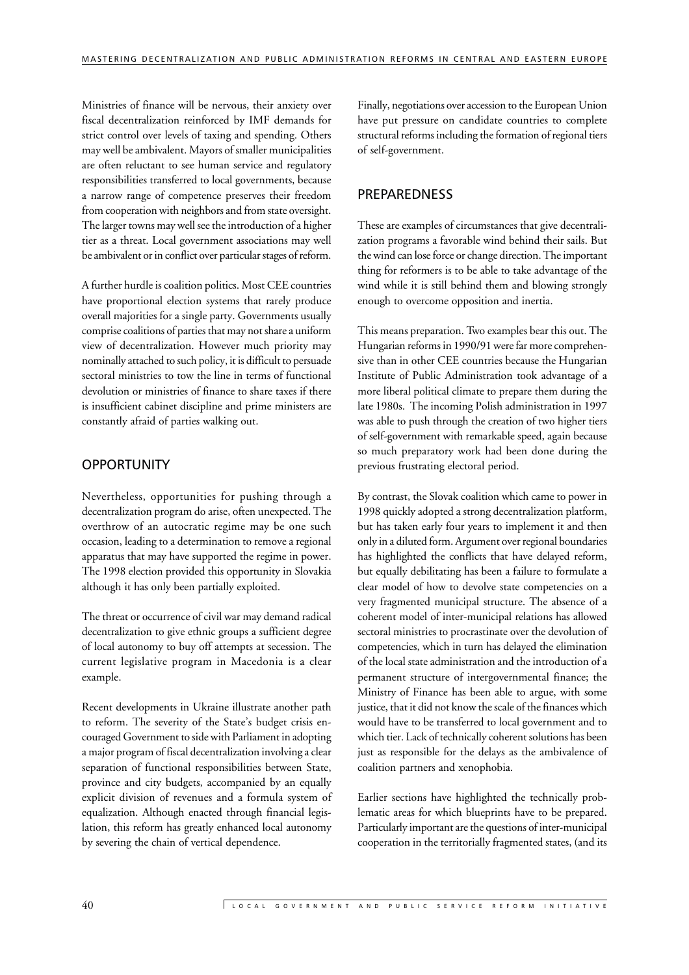Ministries of finance will be nervous, their anxiety over fiscal decentralization reinforced by IMF demands for strict control over levels of taxing and spending. Others may well be ambivalent. Mayors of smaller municipalities are often reluctant to see human service and regulatory responsibilities transferred to local governments, because a narrow range of competence preserves their freedom from cooperation with neighbors and from state oversight. The larger towns may well see the introduction of a higher tier as a threat. Local government associations may well be ambivalent or in conflict over particular stages of reform.

A further hurdle is coalition politics. Most CEE countries have proportional election systems that rarely produce overall majorities for a single party. Governments usually comprise coalitions of parties that may not share a uniform view of decentralization. However much priority may nominally attached to such policy, it is difficult to persuade sectoral ministries to tow the line in terms of functional devolution or ministries of finance to share taxes if there is insufficient cabinet discipline and prime ministers are constantly afraid of parties walking out.

#### **OPPORTUNITY**

Nevertheless, opportunities for pushing through a decentralization program do arise, often unexpected. The overthrow of an autocratic regime may be one such occasion, leading to a determination to remove a regional apparatus that may have supported the regime in power. The 1998 election provided this opportunity in Slovakia although it has only been partially exploited.

The threat or occurrence of civil war may demand radical decentralization to give ethnic groups a sufficient degree of local autonomy to buy off attempts at secession. The current legislative program in Macedonia is a clear example.

Recent developments in Ukraine illustrate another path to reform. The severity of the State's budget crisis encouraged Government to side with Parliament in adopting a major program of fiscal decentralization involving a clear separation of functional responsibilities between State, province and city budgets, accompanied by an equally explicit division of revenues and a formula system of equalization. Although enacted through financial legislation, this reform has greatly enhanced local autonomy by severing the chain of vertical dependence.

Finally, negotiations over accession to the European Union have put pressure on candidate countries to complete structural reforms including the formation of regional tiers of self-government.

#### PREPAREDNESS

These are examples of circumstances that give decentralization programs a favorable wind behind their sails. But the wind can lose force or change direction. The important thing for reformers is to be able to take advantage of the wind while it is still behind them and blowing strongly enough to overcome opposition and inertia.

This means preparation. Two examples bear this out. The Hungarian reforms in 1990/91 were far more comprehensive than in other CEE countries because the Hungarian Institute of Public Administration took advantage of a more liberal political climate to prepare them during the late 1980s. The incoming Polish administration in 1997 was able to push through the creation of two higher tiers of self-government with remarkable speed, again because so much preparatory work had been done during the previous frustrating electoral period.

By contrast, the Slovak coalition which came to power in 1998 quickly adopted a strong decentralization platform, but has taken early four years to implement it and then only in a diluted form. Argument over regional boundaries has highlighted the conflicts that have delayed reform, but equally debilitating has been a failure to formulate a clear model of how to devolve state competencies on a very fragmented municipal structure. The absence of a coherent model of inter-municipal relations has allowed sectoral ministries to procrastinate over the devolution of competencies, which in turn has delayed the elimination of the local state administration and the introduction of a permanent structure of intergovernmental finance; the Ministry of Finance has been able to argue, with some justice, that it did not know the scale of the finances which would have to be transferred to local government and to which tier. Lack of technically coherent solutions has been just as responsible for the delays as the ambivalence of coalition partners and xenophobia.

Earlier sections have highlighted the technically problematic areas for which blueprints have to be prepared. Particularly important are the questions of inter-municipal cooperation in the territorially fragmented states, (and its